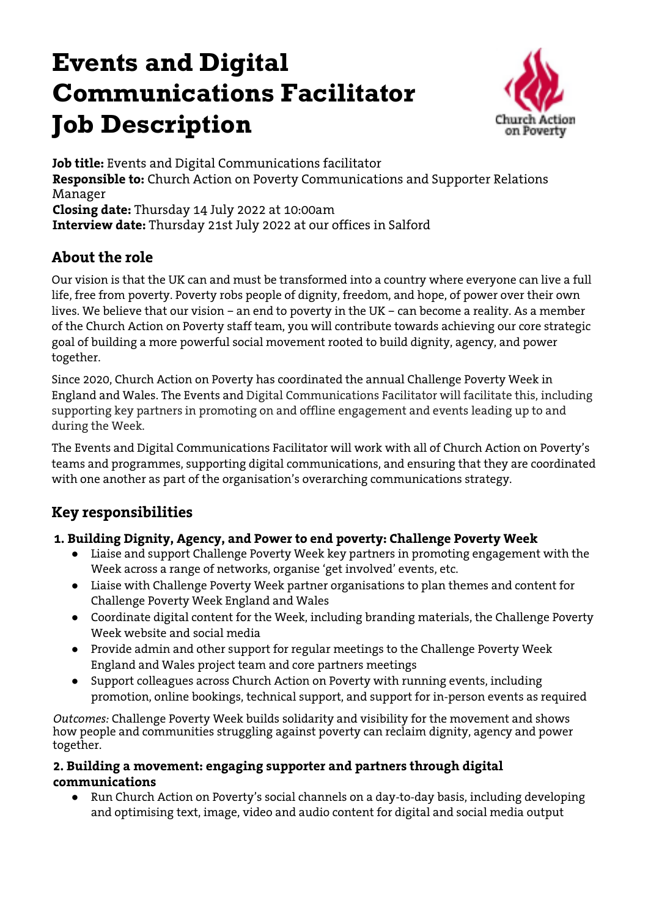# **Events and Digital Communications Facilitator Job Description**



**Job title:** Events and Digital Communications facilitator **Responsible to:** Church Action on Poverty Communications and Supporter Relations Manager **Closing date:** Thursday 14 July 2022 at 10:00am **Interview date:** Thursday 21st July 2022 at our offices in Salford

### **About the role**

Our vision is that the UK can and must be transformed into a country where everyone can live a full life, free from poverty. Poverty robs people of dignity, freedom, and hope, of power over their own lives. We believe that our vision – an end to poverty in the UK – can become a reality. As a member of the Church Action on Poverty staff team, you will contribute towards achieving our core strategic goal of building a more powerful social movement rooted to build dignity, agency, and power together.

Since 2020, Church Action on Poverty has coordinated the annual Challenge Poverty Week in England and Wales. The Events and Digital Communications Facilitator will facilitate this, including supporting key partners in promoting on and offline engagement and events leading up to and during the Week.

The Events and Digital Communications Facilitator will work with all of Church Action on Poverty's teams and programmes, supporting digital communications, and ensuring that they are coordinated with one another as part of the organisation's overarching communications strategy.

## **Key responsibilities**

#### **1. Building Dignity, Agency, and Power to end poverty: Challenge Poverty Week**

- Liaise and support Challenge Poverty Week key partners in promoting engagement with the Week across a range of networks, organise 'get involved' events, etc.
- Liaise with Challenge Poverty Week partner organisations to plan themes and content for Challenge Poverty Week England and Wales
- Coordinate digital content for the Week, including branding materials, the Challenge Poverty Week website and social media
- Provide admin and other support for regular meetings to the Challenge Poverty Week England and Wales project team and core partners meetings
- Support colleagues across Church Action on Poverty with running events, including promotion, online bookings, technical support, and support for in-person events as required

*Outcomes:* Challenge Poverty Week builds solidarity and visibility for the movement and shows how people and communities struggling against poverty can reclaim dignity, agency and power together.

#### **2. Building a movement: engaging supporter and partners through digital communications**

● Run Church Action on Poverty's social channels on a day-to-day basis, including developing and optimising text, image, video and audio content for digital and social media output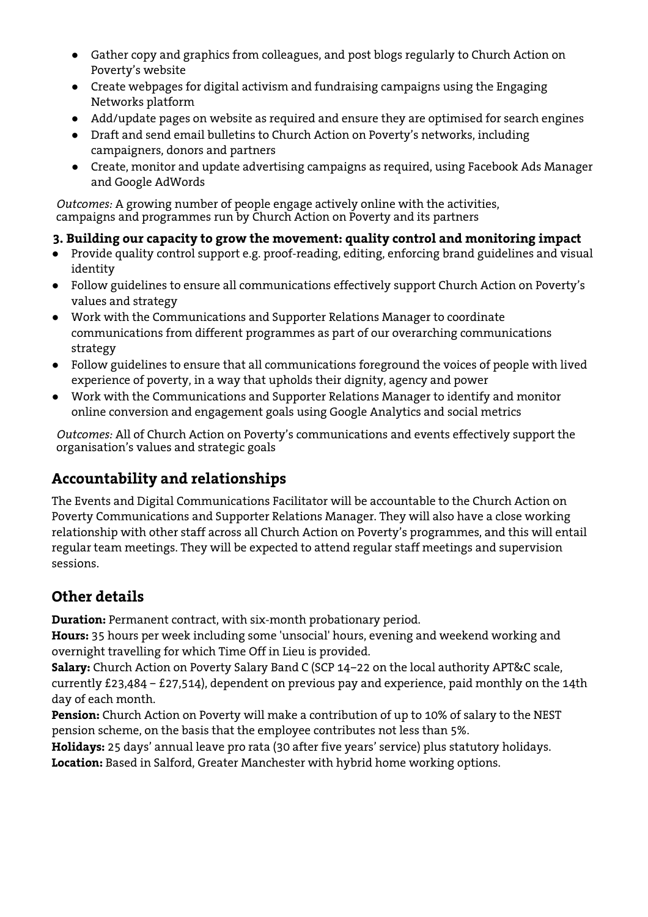- Gather copy and graphics from colleagues, and post blogs regularly to Church Action on Poverty's website
- Create webpages for digital activism and fundraising campaigns using the Engaging Networks platform
- Add/update pages on website as required and ensure they are optimised for search engines
- Draft and send email bulletins to Church Action on Poverty's networks, including campaigners, donors and partners
- Create, monitor and update advertising campaigns as required, using Facebook Ads Manager and Google AdWords

*Outcomes:* A growing number of people engage actively online with the activities, campaigns and programmes run by Church Action on Poverty and its partners

#### **3. Building our capacity to grow the movement: quality control and monitoring impact**

- Provide quality control support e.g. proof-reading, editing, enforcing brand guidelines and visual identity
- Follow guidelines to ensure all communications effectively support Church Action on Poverty's values and strategy
- Work with the Communications and Supporter Relations Manager to coordinate communications from different programmes as part of our overarching communications strategy
- Follow guidelines to ensure that all communications foreground the voices of people with lived experience of poverty, in a way that upholds their dignity, agency and power
- Work with the Communications and Supporter Relations Manager to identify and monitor online conversion and engagement goals using Google Analytics and social metrics

*Outcomes:* All of Church Action on Poverty's communications and events effectively support the organisation's values and strategic goals

## **Accountability and relationships**

The Events and Digital Communications Facilitator will be accountable to the Church Action on Poverty Communications and Supporter Relations Manager. They will also have a close working relationship with other staff across all Church Action on Poverty's programmes, and this will entail regular team meetings. They will be expected to attend regular staff meetings and supervision sessions.

## **Other details**

**Duration:** Permanent contract, with six-month probationary period.

**Hours:** 35 hours per week including some 'unsocial' hours, evening and weekend working and overnight travelling for which Time Off in Lieu is provided.

**Salary:** Church Action on Poverty Salary Band C (SCP 14–22 on the local authority APT&C scale, currently £23,484 – £27,514), dependent on previous pay and experience, paid monthly on the 14th day of each month.

**Pension:** Church Action on Poverty will make a contribution of up to 10% of salary to the NEST pension scheme, on the basis that the employee contributes not less than 5%.

**Holidays:** 25 days' annual leave pro rata (30 after five years' service) plus statutory holidays. **Location:** Based in Salford, Greater Manchester with hybrid home working options.